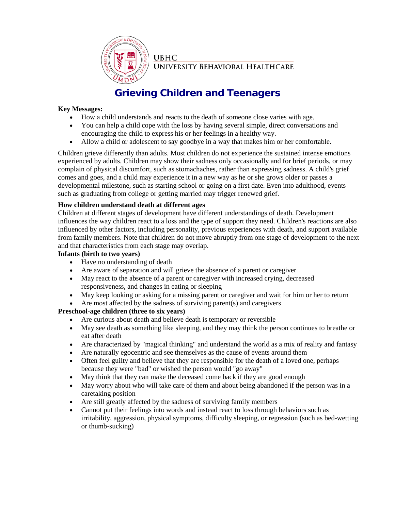

**UNIVERSITY BEHAVIORAL HEALTHCARE** 

# **Grieving Children and Teenagers**

## **Key Messages:**

- How a child understands and reacts to the death of someone close varies with age.
- You can help a child cope with the loss by having several simple, direct conversations and encouraging the child to express his or her feelings in a healthy way.
- Allow a child or adolescent to say goodbye in a way that makes him or her comfortable.

Children grieve differently than adults. Most children do not experience the sustained intense emotions experienced by adults. Children may show their sadness only occasionally and for brief periods, or may complain of physical discomfort, such as stomachaches, rather than expressing sadness. A child's grief comes and goes, and a child may experience it in a new way as he or she grows older or passes a developmental milestone, such as starting school or going on a first date. Even into adulthood, events such as graduating from college or getting married may trigger renewed grief.

## **How children understand death at different ages**

Children at different stages of development have different understandings of death. Development influences the way children react to a loss and the type of support they need. Children's reactions are also influenced by other factors, including personality, previous experiences with death, and support available from family members. Note that children do not move abruptly from one stage of development to the next and that characteristics from each stage may overlap.

## **Infants (birth to two years)**

- Have no understanding of death
- Are aware of separation and will grieve the absence of a parent or caregiver
- May react to the absence of a parent or caregiver with increased crying, decreased responsiveness, and changes in eating or sleeping
- May keep looking or asking for a missing parent or caregiver and wait for him or her to return
- Are most affected by the sadness of surviving parent(s) and caregivers

## **Preschool-age children (three to six years)**

- Are curious about death and believe death is temporary or reversible
- May see death as something like sleeping, and they may think the person continues to breathe or eat after death
- Are characterized by "magical thinking" and understand the world as a mix of reality and fantasy
- Are naturally egocentric and see themselves as the cause of events around them
- Often feel guilty and believe that they are responsible for the death of a loved one, perhaps because they were "bad" or wished the person would "go away"
- May think that they can make the deceased come back if they are good enough
- May worry about who will take care of them and about being abandoned if the person was in a caretaking position
- Are still greatly affected by the sadness of surviving family members
- Cannot put their feelings into words and instead react to loss through behaviors such as irritability, aggression, physical symptoms, difficulty sleeping, or regression (such as bed-wetting or thumb-sucking)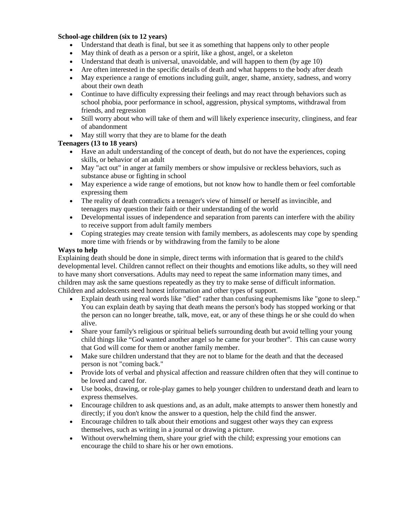## **School-age children (six to 12 years)**

- Understand that death is final, but see it as something that happens only to other people
- May think of death as a person or a spirit, like a ghost, angel, or a skeleton
- Understand that death is universal, unavoidable, and will happen to them (by age 10)
- Are often interested in the specific details of death and what happens to the body after death
- May experience a range of emotions including guilt, anger, shame, anxiety, sadness, and worry about their own death
- Continue to have difficulty expressing their feelings and may react through behaviors such as school phobia, poor performance in school, aggression, physical symptoms, withdrawal from friends, and regression
- Still worry about who will take of them and will likely experience insecurity, clinginess, and fear of abandonment
- May still worry that they are to blame for the death

## **Teenagers (13 to 18 years)**

- Have an adult understanding of the concept of death, but do not have the experiences, coping skills, or behavior of an adult
- May "act out" in anger at family members or show impulsive or reckless behaviors, such as substance abuse or fighting in school
- May experience a wide range of emotions, but not know how to handle them or feel comfortable expressing them
- The reality of death contradicts a teenager's view of himself or herself as invincible, and teenagers may question their faith or their understanding of the world
- Developmental issues of independence and separation from parents can interfere with the ability to receive support from adult family members
- Coping strategies may create tension with family members, as adolescents may cope by spending more time with friends or by withdrawing from the family to be alone

#### **Ways to help**

Explaining death should be done in simple, direct terms with information that is geared to the child's developmental level. Children cannot reflect on their thoughts and emotions like adults, so they will need to have many short conversations. Adults may need to repeat the same information many times, and children may ask the same questions repeatedly as they try to make sense of difficult information. Children and adolescents need honest information and other types of support.

- Explain death using real words like "died" rather than confusing euphemisms like "gone to sleep." You can explain death by saying that death means the person's body has stopped working or that the person can no longer breathe, talk, move, eat, or any of these things he or she could do when alive.
- Share your family's religious or spiritual beliefs surrounding death but avoid telling your young child things like "God wanted another angel so he came for your brother". This can cause worry that God will come for them or another family member.
- Make sure children understand that they are not to blame for the death and that the deceased person is not "coming back."
- Provide lots of verbal and physical affection and reassure children often that they will continue to be loved and cared for.
- Use books, drawing, or role-play games to help younger children to understand death and learn to express themselves.
- Encourage children to ask questions and, as an adult, make attempts to answer them honestly and directly; if you don't know the answer to a question, help the child find the answer.
- Encourage children to talk about their emotions and suggest other ways they can express themselves, such as writing in a journal or drawing a picture.
- Without overwhelming them, share your grief with the child; expressing your emotions can encourage the child to share his or her own emotions.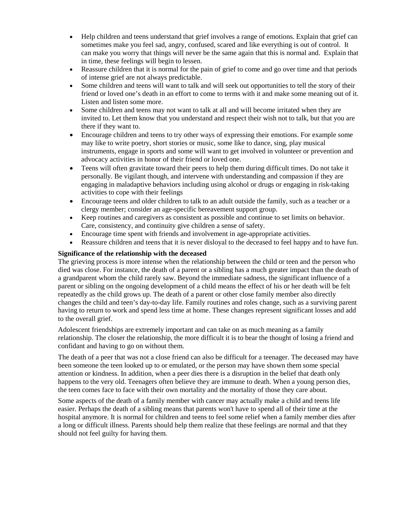- Help children and teens understand that grief involves a range of emotions. Explain that grief can sometimes make you feel sad, angry, confused, scared and like everything is out of control. It can make you worry that things will never be the same again that this is normal and. Explain that in time, these feelings will begin to lessen.
- Reassure children that it is normal for the pain of grief to come and go over time and that periods of intense grief are not always predictable.
- Some children and teens will want to talk and will seek out opportunities to tell the story of their friend or loved one's death in an effort to come to terms with it and make some meaning out of it. Listen and listen some more.
- Some children and teens may not want to talk at all and will become irritated when they are invited to. Let them know that you understand and respect their wish not to talk, but that you are there if they want to.
- Encourage children and teens to try other ways of expressing their emotions. For example some may like to write poetry, short stories or music, some like to dance, sing, play musical instruments, engage in sports and some will want to get involved in volunteer or prevention and advocacy activities in honor of their friend or loved one.
- Teens will often gravitate toward their peers to help them during difficult times. Do not take it personally. Be vigilant though, and intervene with understanding and compassion if they are engaging in maladaptive behaviors including using alcohol or drugs or engaging in risk-taking activities to cope with their feelings
- Encourage teens and older children to talk to an adult outside the family, such as a teacher or a clergy member; consider an age-specific bereavement support group.
- Keep routines and caregivers as consistent as possible and continue to set limits on behavior. Care, consistency, and continuity give children a sense of safety.
- Encourage time spent with friends and involvement in age-appropriate activities.
- Reassure children and teens that it is never disloyal to the deceased to feel happy and to have fun.

## **Significance of the relationship with the deceased**

The grieving process is more intense when the relationship between the child or teen and the person who died was close. For instance, the death of a parent or a sibling has a much greater impact than the death of a grandparent whom the child rarely saw. Beyond the immediate sadness, the significant influence of a parent or sibling on the ongoing development of a child means the effect of his or her death will be felt repeatedly as the child grows up. The death of a parent or other close family member also directly changes the child and teen's day-to-day life. Family routines and roles change, such as a surviving parent having to return to work and spend less time at home. These changes represent significant losses and add to the overall grief.

Adolescent friendships are extremely important and can take on as much meaning as a family relationship. The closer the relationship, the more difficult it is to bear the thought of losing a friend and confidant and having to go on without them.

The death of a peer that was not a close friend can also be difficult for a teenager. The deceased may have been someone the teen looked up to or emulated, or the person may have shown them some special attention or kindness. In addition, when a peer dies there is a disruption in the belief that death only happens to the very old. Teenagers often believe they are immune to death. When a young person dies, the teen comes face to face with their own mortality and the mortality of those they care about.

Some aspects of the death of a family member with cancer may actually make a child and teens life easier. Perhaps the death of a sibling means that parents won't have to spend all of their time at the hospital anymore. It is normal for children and teens to feel some relief when a family member dies after a long or difficult illness. Parents should help them realize that these feelings are normal and that they should not feel guilty for having them.